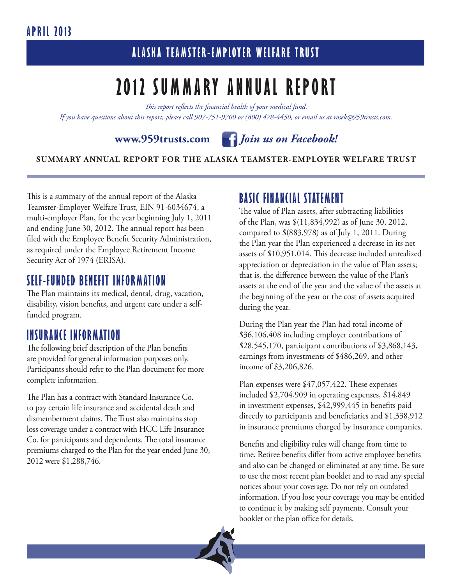### **April 2013**

### **A las ka Tea m ster- E mployer Welfare Trust**

## **2012 Summ ary Annual Report**

*This report reflects the financial health of your medical fund. If you have questions about this report, please call 907-751-9700 or (800) 478-4450, or email us at rosek@959trusts.com.*



#### **SUMMARY ANNUAL REPORT FOR THE ALASKA TEAMSTER-EMPLOYER WELFARE TRUST**

This is a summary of the annual report of the Alaska Teamster-Employer Welfare Trust, EIN 91-6034674, a multi-employer Plan, for the year beginning July 1, 2011 and ending June 30, 2012. The annual report has been filed with the Employee Benefit Security Administration, as required under the Employee Retirement Income Security Act of 1974 (ERISA).

### **SELF-FUNDED BENEFIT INFORMATION**

The Plan maintains its medical, dental, drug, vacation, disability, vision benefits, and urgent care under a selffunded program.

### **INSURANCE INFORMATION**

The following brief description of the Plan benefits are provided for general information purposes only. Participants should refer to the Plan document for more complete information.

The Plan has a contract with Standard Insurance Co. to pay certain life insurance and accidental death and dismemberment claims. The Trust also maintains stop loss coverage under a contract with HCC Life Insurance Co. for participants and dependents. The total insurance premiums charged to the Plan for the year ended June 30, 2012 were \$1,288,746.

### **BASIC FINANCIAL STATEMENT**

The value of Plan assets, after subtracting liabilities of the Plan, was \$(11,834,992) as of June 30, 2012, compared to \$(883,978) as of July 1, 2011. During the Plan year the Plan experienced a decrease in its net assets of \$10,951,014. This decrease included unrealized appreciation or depreciation in the value of Plan assets; that is, the difference between the value of the Plan's assets at the end of the year and the value of the assets at the beginning of the year or the cost of assets acquired during the year.

During the Plan year the Plan had total income of \$36,106,408 including employer contributions of \$28,545,170, participant contributions of \$3,868,143, earnings from investments of \$486,269, and other income of \$3,206,826.

Plan expenses were \$47,057,422. These expenses included \$2,704,909 in operating expenses, \$14,849 in investment expenses, \$42,999,445 in benefits paid directly to participants and beneficiaries and \$1,338,912 in insurance premiums charged by insurance companies.

Benefits and eligibility rules will change from time to time. Retiree benefits differ from active employee benefits and also can be changed or eliminated at any time. Be sure to use the most recent plan booklet and to read any special notices about your coverage. Do not rely on outdated information. If you lose your coverage you may be entitled to continue it by making self payments. Consult your booklet or the plan office for details.

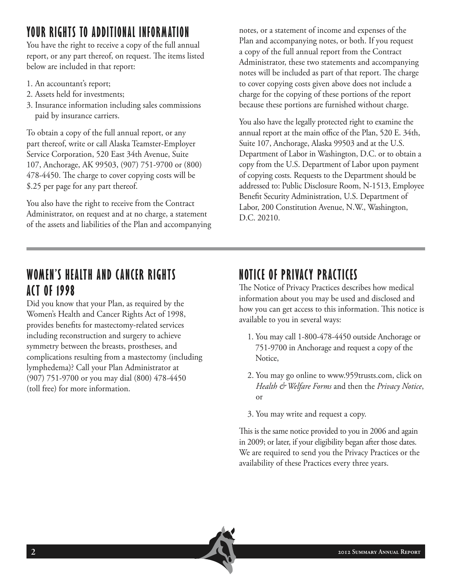## **YOUR RIGHTS TO ADDITIONAL INFORMATION**

You have the right to receive a copy of the full annual report, or any part thereof, on request. The items listed below are included in that report:

- 1. An accountant's report;
- 2. Assets held for investments;
- 3. Insurance information including sales commissions paid by insurance carriers.

To obtain a copy of the full annual report, or any part thereof, write or call Alaska Teamster-Employer Service Corporation, 520 East 34th Avenue, Suite 107, Anchorage, AK 99503, (907) 751-9700 or (800) 478-4450. The charge to cover copying costs will be \$.25 per page for any part thereof.

You also have the right to receive from the Contract Administrator, on request and at no charge, a statement of the assets and liabilities of the Plan and accompanying

notes, or a statement of income and expenses of the Plan and accompanying notes, or both. If you request a copy of the full annual report from the Contract Administrator, these two statements and accompanying notes will be included as part of that report. The charge to cover copying costs given above does not include a charge for the copying of these portions of the report because these portions are furnished without charge.

You also have the legally protected right to examine the annual report at the main office of the Plan, 520 E. 34th, Suite 107, Anchorage, Alaska 99503 and at the U.S. Department of Labor in Washington, D.C. or to obtain a copy from the U.S. Department of Labor upon payment of copying costs. Requests to the Department should be addressed to: Public Disclosure Room, N-1513, Employee Benefit Security Administration, U.S. Department of Labor, 200 Constitution Avenue, N.W., Washington, D.C. 20210.

### **WOMEN'S HEALTH AND CANCER RIGHTS ACT OF 1998**

Did you know that your Plan, as required by the Women's Health and Cancer Rights Act of 1998, provides benefits for mastectomy-related services including reconstruction and surgery to achieve symmetry between the breasts, prostheses, and complications resulting from a mastectomy (including lymphedema)? Call your Plan Administrator at (907) 751-9700 or you may dial (800) 478-4450 (toll free) for more information.

## **NOTICE OF PRIVACY PRACTICES**

The Notice of Privacy Practices describes how medical information about you may be used and disclosed and how you can get access to this information. This notice is available to you in several ways:

- 1. You may call 1-800-478-4450 outside Anchorage or 751-9700 in Anchorage and request a copy of the Notice,
- 2. You may go online to www.959trusts.com, click on *Health & Welfare Forms* and then the *Privacy Notice*, or
- 3. You may write and request a copy.

This is the same notice provided to you in 2006 and again in 2009; or later, if your eligibility began after those dates. We are required to send you the Privacy Practices or the availability of these Practices every three years.

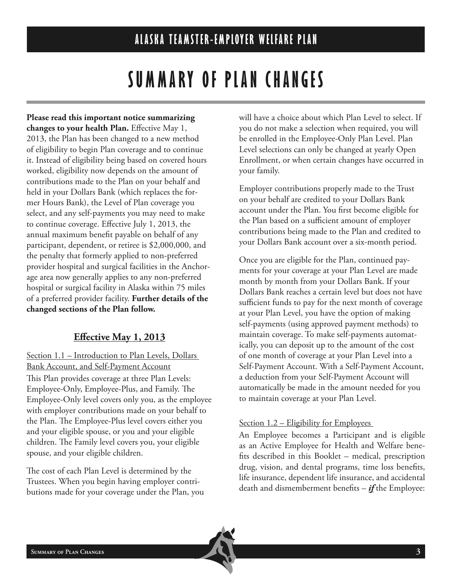# **SUMMARY OF PLAN CHANGES**

**Please read this important notice summarizing changes to your health Plan.** Effective May 1, 2013, the Plan has been changed to a new method of eligibility to begin Plan coverage and to continue it. Instead of eligibility being based on covered hours worked, eligibility now depends on the amount of contributions made to the Plan on your behalf and held in your Dollars Bank (which replaces the former Hours Bank), the Level of Plan coverage you select, and any self-payments you may need to make to continue coverage. Effective July 1, 2013, the annual maximum benefit payable on behalf of any participant, dependent, or retiree is \$2,000,000, and the penalty that formerly applied to non-preferred provider hospital and surgical facilities in the Anchorage area now generally applies to any non-preferred hospital or surgical facility in Alaska within 75 miles of a preferred provider facility. **Further details of the changed sections of the Plan follow.**

### **Effective May 1, 2013**

Section 1.1 – Introduction to Plan Levels, Dollars Bank Account, and Self-Payment Account This Plan provides coverage at three Plan Levels: Employee-Only, Employee-Plus, and Family. The Employee-Only level covers only you, as the employee with employer contributions made on your behalf to the Plan. The Employee-Plus level covers either you and your eligible spouse, or you and your eligible children. The Family level covers you, your eligible spouse, and your eligible children.

The cost of each Plan Level is determined by the Trustees. When you begin having employer contributions made for your coverage under the Plan, you will have a choice about which Plan Level to select. If you do not make a selection when required, you will be enrolled in the Employee-Only Plan Level. Plan Level selections can only be changed at yearly Open Enrollment, or when certain changes have occurred in your family.

Employer contributions properly made to the Trust on your behalf are credited to your Dollars Bank account under the Plan. You first become eligible for the Plan based on a sufficient amount of employer contributions being made to the Plan and credited to your Dollars Bank account over a six-month period.

Once you are eligible for the Plan, continued payments for your coverage at your Plan Level are made month by month from your Dollars Bank. If your Dollars Bank reaches a certain level but does not have sufficient funds to pay for the next month of coverage at your Plan Level, you have the option of making self-payments (using approved payment methods) to maintain coverage. To make self-payments automatically, you can deposit up to the amount of the cost of one month of coverage at your Plan Level into a Self-Payment Account. With a Self-Payment Account, a deduction from your Self-Payment Account will automatically be made in the amount needed for you to maintain coverage at your Plan Level.

#### Section 1.2 – Eligibility for Employees

An Employee becomes a Participant and is eligible as an Active Employee for Health and Welfare benefits described in this Booklet – medical, prescription drug, vision, and dental programs, time loss benefits, life insurance, dependent life insurance, and accidental death and dismemberment benefits – *if* the Employee: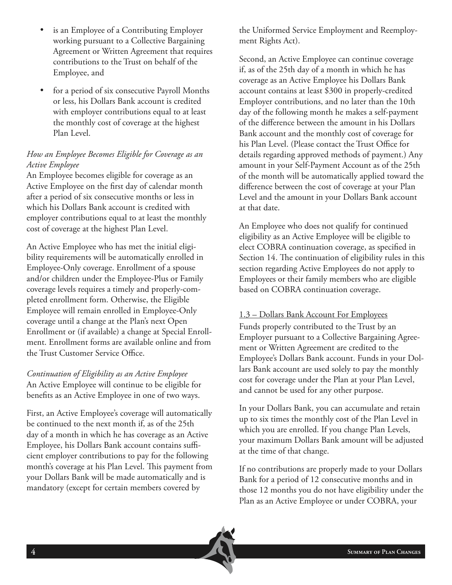- is an Employee of a Contributing Employer working pursuant to a Collective Bargaining Agreement or Written Agreement that requires contributions to the Trust on behalf of the Employee, and
- for a period of six consecutive Payroll Months or less, his Dollars Bank account is credited with employer contributions equal to at least the monthly cost of coverage at the highest Plan Level.

#### *How an Employee Becomes Eligible for Coverage as an Active Employee*

An Employee becomes eligible for coverage as an Active Employee on the first day of calendar month after a period of six consecutive months or less in which his Dollars Bank account is credited with employer contributions equal to at least the monthly cost of coverage at the highest Plan Level.

An Active Employee who has met the initial eligibility requirements will be automatically enrolled in Employee-Only coverage. Enrollment of a spouse and/or children under the Employee-Plus or Family coverage levels requires a timely and properly-completed enrollment form. Otherwise, the Eligible Employee will remain enrolled in Employee-Only coverage until a change at the Plan's next Open Enrollment or (if available) a change at Special Enrollment. Enrollment forms are available online and from the Trust Customer Service Office.

*Continuation of Eligibility as an Active Employee* An Active Employee will continue to be eligible for benefits as an Active Employee in one of two ways.

First, an Active Employee's coverage will automatically be continued to the next month if, as of the 25th day of a month in which he has coverage as an Active Employee, his Dollars Bank account contains sufficient employer contributions to pay for the following month's coverage at his Plan Level. This payment from your Dollars Bank will be made automatically and is mandatory (except for certain members covered by

the Uniformed Service Employment and Reemployment Rights Act).

Second, an Active Employee can continue coverage if, as of the 25th day of a month in which he has coverage as an Active Employee his Dollars Bank account contains at least \$300 in properly-credited Employer contributions, and no later than the 10th day of the following month he makes a self-payment of the difference between the amount in his Dollars Bank account and the monthly cost of coverage for his Plan Level. (Please contact the Trust Office for details regarding approved methods of payment.) Any amount in your Self-Payment Account as of the 25th of the month will be automatically applied toward the difference between the cost of coverage at your Plan Level and the amount in your Dollars Bank account at that date.

An Employee who does not qualify for continued eligibility as an Active Employee will be eligible to elect COBRA continuation coverage, as specified in Section 14. The continuation of eligibility rules in this section regarding Active Employees do not apply to Employees or their family members who are eligible based on COBRA continuation coverage.

#### 1.3 – Dollars Bank Account For Employees

Funds properly contributed to the Trust by an Employer pursuant to a Collective Bargaining Agreement or Written Agreement are credited to the Employee's Dollars Bank account. Funds in your Dollars Bank account are used solely to pay the monthly cost for coverage under the Plan at your Plan Level, and cannot be used for any other purpose.

In your Dollars Bank, you can accumulate and retain up to six times the monthly cost of the Plan Level in which you are enrolled. If you change Plan Levels, your maximum Dollars Bank amount will be adjusted at the time of that change.

If no contributions are properly made to your Dollars Bank for a period of 12 consecutive months and in those 12 months you do not have eligibility under the Plan as an Active Employee or under COBRA, your

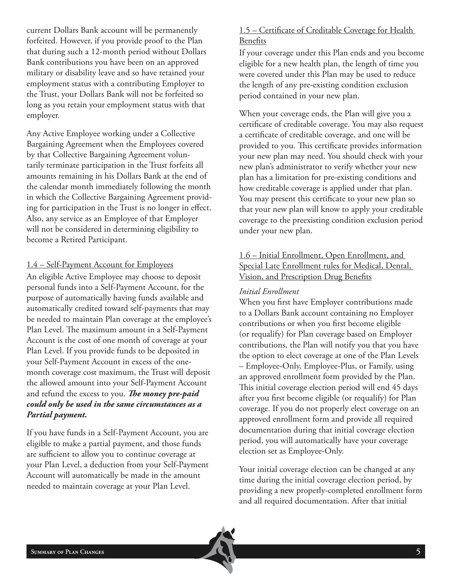current Dollars Bank account will be permanently forfeited. However, if you provide proof to the Plan that during such a 12-month period without Dollars Bank contributions you have been on an approved military or disability leave and so have retained your employment status with a contributing Employer to the Trust, your Dollars Bank will not be forfeited so long as you retain your employment status with that employer.

Any Active Employee working under a Collective Bargaining Agreement when the Employees covered by that Collective Bargaining Agreement voluntarily terminate participation in the Trust forfeits all amounts remaining in his Dollars Bank at the end of the calendar month immediately following the month in which the Collective Bargaining Agreement providing for participation in the Trust is no longer in effect. Also, any service as an Employee of that Employer will not be considered in determining eligibility to become a Retired Participant.

#### 1.4 – Self-Payment Account for Employees

An eligible Active Employee may choose to deposit personal funds into a Self-Payment Account, for the purpose of automatically having funds available and automatically credited toward self-payments that may be needed to maintain Plan coverage at the employee's Plan Level. The maximum amount in a Self-Payment Account is the cost of one month of coverage at your Plan Level. If you provide funds to be deposited in your Self-Payment Account in excess of the onemonth coverage cost maximum, the Trust will deposit the allowed amount into your Self-Payment Account and refund the excess to you. *The money pre-paid could only be used in the same circumstances as a Partial payment.*

If you have funds in a Self-Payment Account, you are eligible to make a partial payment, and those funds are sufficient to allow you to continue coverage at your Plan Level, a deduction from your Self-Payment Account will automatically be made in the amount needed to maintain coverage at your Plan Level.

#### 1.5 – Certificate of Creditable Coverage for Health Benefits

If your coverage under this Plan ends and you become eligible for a new health plan, the length of time you were covered under this Plan may be used to reduce the length of any pre-existing condition exclusion period contained in your new plan.

When your coverage ends, the Plan will give you a certificate of creditable coverage. You may also request a certificate of creditable coverage, and one will be provided to you. This certificate provides information your new plan may need. You should check with your new plan's administrator to verify whether your new plan has a limitation for pre-existing conditions and how creditable coverage is applied under that plan. You may present this certificate to your new plan so that your new plan will know to apply your creditable coverage to the preexisting condition exclusion period under your new plan.

#### 1.6 – Initial Enrollment, Open Enrollment, and Special Late Enrollment rules for Medical, Dental, Vision, and Prescription Drug Benefits

#### *Initial Enrollment*

When you first have Employer contributions made to a Dollars Bank account containing no Employer contributions or when you first become eligible (or requalify) for Plan coverage based on Employer contributions, the Plan will notify you that you have the option to elect coverage at one of the Plan Levels – Employee-Only, Employee-Plus, or Family, using an approved enrollment form provided by the Plan. This initial coverage election period will end 45 days after you first become eligible (or requalify) for Plan coverage. If you do not properly elect coverage on an approved enrollment form and provide all required documentation during that initial coverage election period, you will automatically have your coverage election set as Employee-Only.

Your initial coverage election can be changed at any time during the initial coverage election period, by providing a new properly-completed enrollment form and all required documentation. After that initial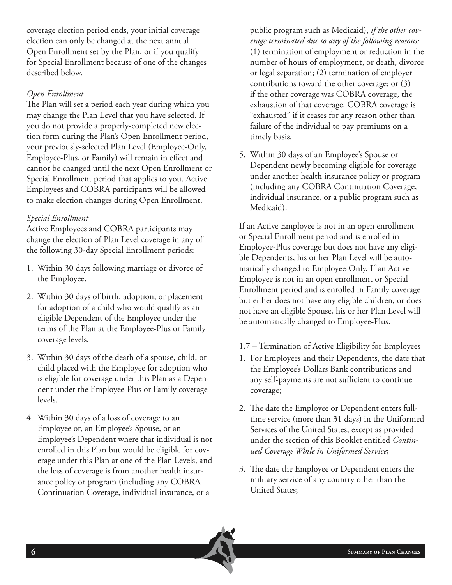coverage election period ends, your initial coverage election can only be changed at the next annual Open Enrollment set by the Plan, or if you qualify for Special Enrollment because of one of the changes described below.

#### *Open Enrollment*

The Plan will set a period each year during which you may change the Plan Level that you have selected. If you do not provide a properly-completed new election form during the Plan's Open Enrollment period, your previously-selected Plan Level (Employee-Only, Employee-Plus, or Family) will remain in effect and cannot be changed until the next Open Enrollment or Special Enrollment period that applies to you. Active Employees and COBRA participants will be allowed to make election changes during Open Enrollment.

#### *Special Enrollment*

Active Employees and COBRA participants may change the election of Plan Level coverage in any of the following 30-day Special Enrollment periods:

- 1. Within 30 days following marriage or divorce of the Employee.
- 2. Within 30 days of birth, adoption, or placement for adoption of a child who would qualify as an eligible Dependent of the Employee under the terms of the Plan at the Employee-Plus or Family coverage levels.
- 3. Within 30 days of the death of a spouse, child, or child placed with the Employee for adoption who is eligible for coverage under this Plan as a Dependent under the Employee-Plus or Family coverage levels.
- 4. Within 30 days of a loss of coverage to an Employee or, an Employee's Spouse, or an Employee's Dependent where that individual is not enrolled in this Plan but would be eligible for coverage under this Plan at one of the Plan Levels, and the loss of coverage is from another health insurance policy or program (including any COBRA Continuation Coverage, individual insurance, or a

public program such as Medicaid), *if the other coverage terminated due to any of the following reasons:*  (1) termination of employment or reduction in the number of hours of employment, or death, divorce or legal separation; (2) termination of employer contributions toward the other coverage; or (3) if the other coverage was COBRA coverage, the exhaustion of that coverage. COBRA coverage is "exhausted" if it ceases for any reason other than failure of the individual to pay premiums on a timely basis.

5. Within 30 days of an Employee's Spouse or Dependent newly becoming eligible for coverage under another health insurance policy or program (including any COBRA Continuation Coverage, individual insurance, or a public program such as Medicaid).

If an Active Employee is not in an open enrollment or Special Enrollment period and is enrolled in Employee-Plus coverage but does not have any eligible Dependents, his or her Plan Level will be automatically changed to Employee-Only. If an Active Employee is not in an open enrollment or Special Enrollment period and is enrolled in Family coverage but either does not have any eligible children, or does not have an eligible Spouse, his or her Plan Level will be automatically changed to Employee-Plus.

#### 1.7 – Termination of Active Eligibility for Employees

- 1. For Employees and their Dependents, the date that the Employee's Dollars Bank contributions and any self-payments are not sufficient to continue coverage;
- 2. The date the Employee or Dependent enters fulltime service (more than 31 days) in the Uniformed Services of the United States, except as provided under the section of this Booklet entitled *Continued Coverage While in Uniformed Service*;
- 3. The date the Employee or Dependent enters the military service of any country other than the United States;

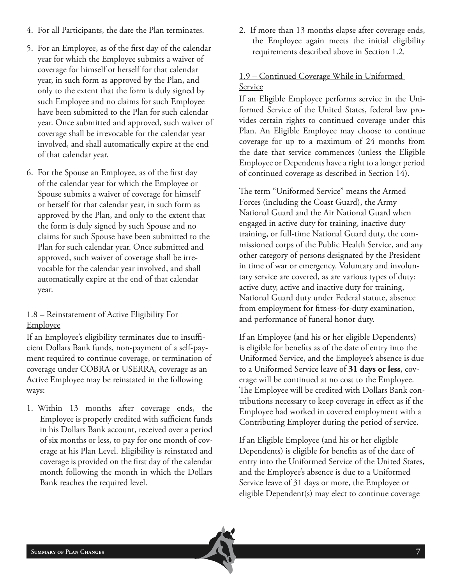- 4. For all Participants, the date the Plan terminates.
- 5. For an Employee, as of the first day of the calendar year for which the Employee submits a waiver of coverage for himself or herself for that calendar year, in such form as approved by the Plan, and only to the extent that the form is duly signed by such Employee and no claims for such Employee have been submitted to the Plan for such calendar year. Once submitted and approved, such waiver of coverage shall be irrevocable for the calendar year involved, and shall automatically expire at the end of that calendar year.
- 6. For the Spouse an Employee, as of the first day of the calendar year for which the Employee or Spouse submits a waiver of coverage for himself or herself for that calendar year, in such form as approved by the Plan, and only to the extent that the form is duly signed by such Spouse and no claims for such Spouse have been submitted to the Plan for such calendar year. Once submitted and approved, such waiver of coverage shall be irrevocable for the calendar year involved, and shall automatically expire at the end of that calendar year.

#### 1.8 – Reinstatement of Active Eligibility For **Employee**

If an Employee's eligibility terminates due to insufficient Dollars Bank funds, non-payment of a self-payment required to continue coverage, or termination of coverage under COBRA or USERRA, coverage as an Active Employee may be reinstated in the following ways:

1. Within 13 months after coverage ends, the Employee is properly credited with sufficient funds in his Dollars Bank account, received over a period of six months or less, to pay for one month of coverage at his Plan Level. Eligibility is reinstated and coverage is provided on the first day of the calendar month following the month in which the Dollars Bank reaches the required level.

2. If more than 13 months elapse after coverage ends, the Employee again meets the initial eligibility requirements described above in Section 1.2*.*

#### 1.9 – Continued Coverage While in Uniformed Service

If an Eligible Employee performs service in the Uniformed Service of the United States, federal law provides certain rights to continued coverage under this Plan. An Eligible Employee may choose to continue coverage for up to a maximum of 24 months from the date that service commences (unless the Eligible Employee or Dependents have a right to a longer period of continued coverage as described in Section 14).

The term "Uniformed Service" means the Armed Forces (including the Coast Guard), the Army National Guard and the Air National Guard when engaged in active duty for training, inactive duty training, or full-time National Guard duty, the commissioned corps of the Public Health Service, and any other category of persons designated by the President in time of war or emergency. Voluntary and involuntary service are covered, as are various types of duty: active duty, active and inactive duty for training, National Guard duty under Federal statute, absence from employment for fitness-for-duty examination, and performance of funeral honor duty.

If an Employee (and his or her eligible Dependents) is eligible for benefits as of the date of entry into the Uniformed Service, and the Employee's absence is due to a Uniformed Service leave of **31 days or less**, coverage will be continued at no cost to the Employee. The Employee will be credited with Dollars Bank contributions necessary to keep coverage in effect as if the Employee had worked in covered employment with a Contributing Employer during the period of service.

If an Eligible Employee (and his or her eligible Dependents) is eligible for benefits as of the date of entry into the Uniformed Service of the United States, and the Employee's absence is due to a Uniformed Service leave of 31 days or more, the Employee or eligible Dependent(s) may elect to continue coverage

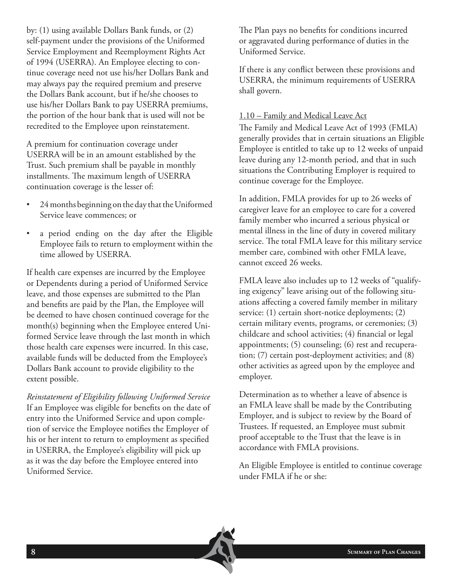by: (1) using available Dollars Bank funds, or (2) self-payment under the provisions of the Uniformed Service Employment and Reemployment Rights Act of 1994 (USERRA). An Employee electing to continue coverage need not use his/her Dollars Bank and may always pay the required premium and preserve the Dollars Bank account, but if he/she chooses to use his/her Dollars Bank to pay USERRA premiums, the portion of the hour bank that is used will not be recredited to the Employee upon reinstatement.

A premium for continuation coverage under USERRA will be in an amount established by the Trust. Such premium shall be payable in monthly installments. The maximum length of USERRA continuation coverage is the lesser of:

- 24 months beginning on the day that the Uniformed Service leave commences; or
- a period ending on the day after the Eligible Employee fails to return to employment within the time allowed by USERRA.

If health care expenses are incurred by the Employee or Dependents during a period of Uniformed Service leave, and those expenses are submitted to the Plan and benefits are paid by the Plan, the Employee will be deemed to have chosen continued coverage for the month(s) beginning when the Employee entered Uniformed Service leave through the last month in which those health care expenses were incurred. In this case, available funds will be deducted from the Employee's Dollars Bank account to provide eligibility to the extent possible.

*Reinstatement of Eligibility following Uniformed Service* If an Employee was eligible for benefits on the date of entry into the Uniformed Service and upon completion of service the Employee notifies the Employer of his or her intent to return to employment as specified in USERRA, the Employee's eligibility will pick up as it was the day before the Employee entered into Uniformed Service.

The Plan pays no benefits for conditions incurred or aggravated during performance of duties in the Uniformed Service.

If there is any conflict between these provisions and USERRA, the minimum requirements of USERRA shall govern.

#### 1.10 – Family and Medical Leave Act

The Family and Medical Leave Act of 1993 (FMLA) generally provides that in certain situations an Eligible Employee is entitled to take up to 12 weeks of unpaid leave during any 12-month period, and that in such situations the Contributing Employer is required to continue coverage for the Employee.

In addition, FMLA provides for up to 26 weeks of caregiver leave for an employee to care for a covered family member who incurred a serious physical or mental illness in the line of duty in covered military service. The total FMLA leave for this military service member care, combined with other FMLA leave, cannot exceed 26 weeks.

FMLA leave also includes up to 12 weeks of "qualifying exigency" leave arising out of the following situations affecting a covered family member in military service: (1) certain short-notice deployments; (2) certain military events, programs, or ceremonies; (3) childcare and school activities; (4) financial or legal appointments; (5) counseling; (6) rest and recuperation; (7) certain post-deployment activities; and (8) other activities as agreed upon by the employee and employer.

Determination as to whether a leave of absence is an FMLA leave shall be made by the Contributing Employer, and is subject to review by the Board of Trustees. If requested, an Employee must submit proof acceptable to the Trust that the leave is in accordance with FMLA provisions.

An Eligible Employee is entitled to continue coverage under FMLA if he or she:

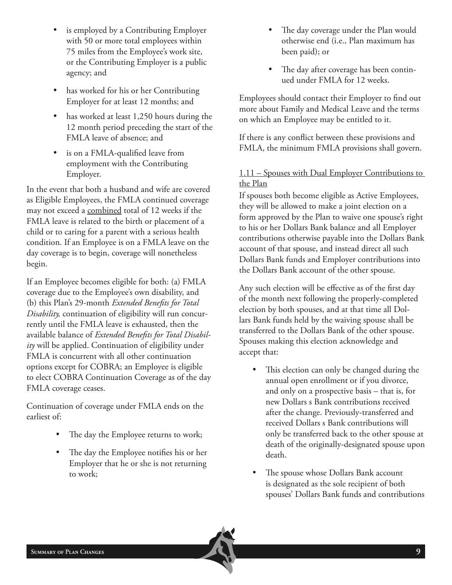- is employed by a Contributing Employer with 50 or more total employees within 75 miles from the Employee's work site, or the Contributing Employer is a public agency; and
- has worked for his or her Contributing Employer for at least 12 months; and
- has worked at least 1,250 hours during the 12 month period preceding the start of the FMLA leave of absence; and
- is on a FMLA-qualified leave from employment with the Contributing Employer.

In the event that both a husband and wife are covered as Eligible Employees, the FMLA continued coverage may not exceed a combined total of 12 weeks if the FMLA leave is related to the birth or placement of a child or to caring for a parent with a serious health condition. If an Employee is on a FMLA leave on the day coverage is to begin, coverage will nonetheless begin.

If an Employee becomes eligible for both: (a) FMLA coverage due to the Employee's own disability, and (b) this Plan's 29-month *Extended Benefits for Total Disability,* continuation of eligibility will run concurrently until the FMLA leave is exhausted, then the available balance of *Extended Benefits for Total Disability* will be applied. Continuation of eligibility under FMLA is concurrent with all other continuation options except for COBRA; an Employee is eligible to elect COBRA Continuation Coverage as of the day FMLA coverage ceases.

Continuation of coverage under FMLA ends on the earliest of:

- The day the Employee returns to work;
- The day the Employee notifies his or her Employer that he or she is not returning to work;
- The day coverage under the Plan would otherwise end (i.e., Plan maximum has been paid); or
- The day after coverage has been continued under FMLA for 12 weeks.

Employees should contact their Employer to find out more about Family and Medical Leave and the terms on which an Employee may be entitled to it.

If there is any conflict between these provisions and FMLA, the minimum FMLA provisions shall govern.

#### 1.11 – Spouses with Dual Employer Contributions to the Plan

If spouses both become eligible as Active Employees, they will be allowed to make a joint election on a form approved by the Plan to waive one spouse's right to his or her Dollars Bank balance and all Employer contributions otherwise payable into the Dollars Bank account of that spouse, and instead direct all such Dollars Bank funds and Employer contributions into the Dollars Bank account of the other spouse.

Any such election will be effective as of the first day of the month next following the properly-completed election by both spouses, and at that time all Dollars Bank funds held by the waiving spouse shall be transferred to the Dollars Bank of the other spouse. Spouses making this election acknowledge and accept that:

- This election can only be changed during the annual open enrollment or if you divorce, and only on a prospective basis – that is, for new Dollars s Bank contributions received after the change. Previously-transferred and received Dollars s Bank contributions will only be transferred back to the other spouse at death of the originally-designated spouse upon death.
- The spouse whose Dollars Bank account is designated as the sole recipient of both spouses' Dollars Bank funds and contributions